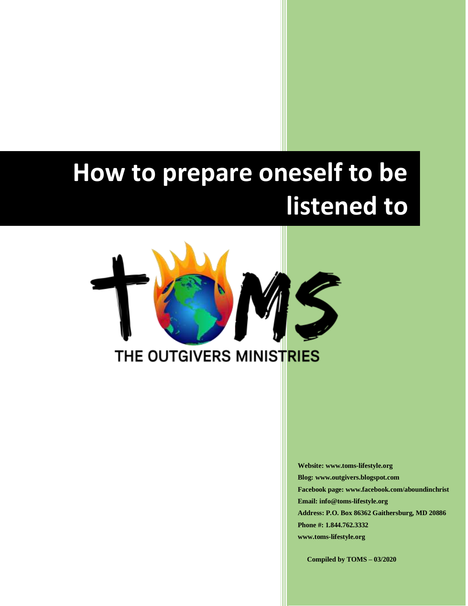# **How to prepare oneself to be listened to**



**Website: www.toms-lifestyle.org Blog: www.outgivers.blogspot.com Facebook page: www.facebook.com/aboundinchrist Email: info@toms-lifestyle.org Address: P.O. Box 86362 Gaithersburg, MD 20886 Phone #: 1.844.762.3332 www.toms-lifestyle.org**

**Compiled by TOMS – 03/2020**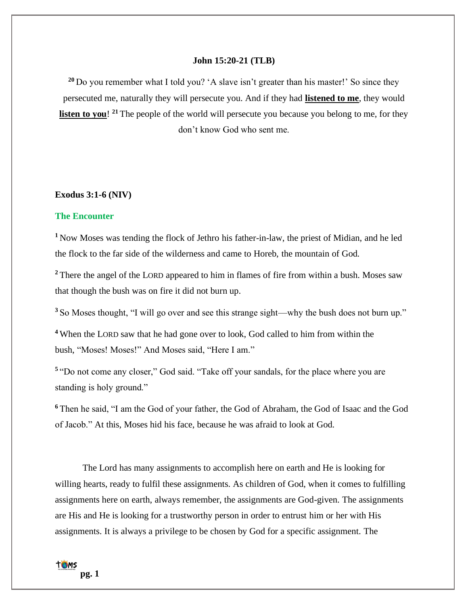## **John 15:20-21 (TLB)**

**<sup>20</sup>** Do you remember what I told you? 'A slave isn't greater than his master!' So since they persecuted me, naturally they will persecute you. And if they had **listened to me**, they would **listen to you!** <sup>21</sup> The people of the world will persecute you because you belong to me, for they don't know God who sent me.

## **Exodus 3:1-6 (NIV)**

## **The Encounter**

**<sup>1</sup>**Now Moses was tending the flock of Jethro his father-in-law, the priest of Midian, and he led the flock to the far side of the wilderness and came to Horeb, the mountain of God.

<sup>2</sup> There the angel of the LORD appeared to him in flames of fire from within a bush. Moses saw that though the bush was on fire it did not burn up.

**<sup>3</sup>** So Moses thought, "I will go over and see this strange sight—why the bush does not burn up."

**<sup>4</sup>** When the LORD saw that he had gone over to look, God called to him from within the bush, "Moses! Moses!" And Moses said, "Here I am."

<sup>5</sup> "Do not come any closer," God said. "Take off your sandals, for the place where you are standing is holy ground."

**<sup>6</sup>** Then he said, "I am the God of your father, the God of Abraham, the God of Isaac and the God of Jacob." At this, Moses hid his face, because he was afraid to look at God.

The Lord has many assignments to accomplish here on earth and He is looking for willing hearts, ready to fulfil these assignments. As children of God, when it comes to fulfilling assignments here on earth, always remember, the assignments are God-given. The assignments are His and He is looking for a trustworthy person in order to entrust him or her with His assignments. It is always a privilege to be chosen by God for a specific assignment. The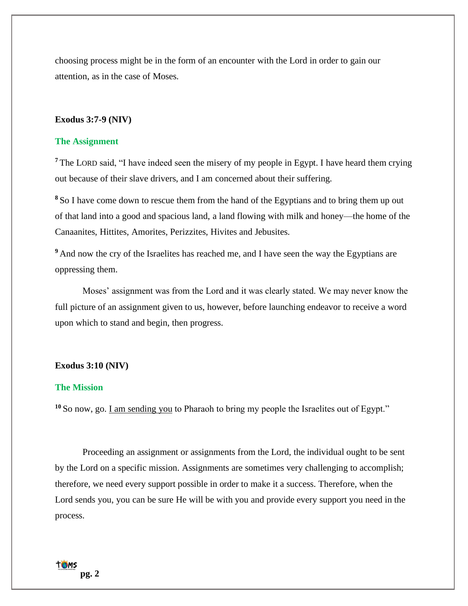choosing process might be in the form of an encounter with the Lord in order to gain our attention, as in the case of Moses.

## **Exodus 3:7-9 (NIV)**

## **The Assignment**

**<sup>7</sup>** The LORD said, "I have indeed seen the misery of my people in Egypt. I have heard them crying out because of their slave drivers, and I am concerned about their suffering.

**<sup>8</sup>** So I have come down to rescue them from the hand of the Egyptians and to bring them up out of that land into a good and spacious land, a land flowing with milk and honey—the home of the Canaanites, Hittites, Amorites, Perizzites, Hivites and Jebusites.

<sup>9</sup> And now the cry of the Israelites has reached me, and I have seen the way the Egyptians are oppressing them.

Moses' assignment was from the Lord and it was clearly stated. We may never know the full picture of an assignment given to us, however, before launching endeavor to receive a word upon which to stand and begin, then progress.

#### **Exodus 3:10 (NIV)**

# **The Mission**

**<sup>10</sup>** So now, go. I am sending you to Pharaoh to bring my people the Israelites out of Egypt."

Proceeding an assignment or assignments from the Lord, the individual ought to be sent by the Lord on a specific mission. Assignments are sometimes very challenging to accomplish; therefore, we need every support possible in order to make it a success. Therefore, when the Lord sends you, you can be sure He will be with you and provide every support you need in the process.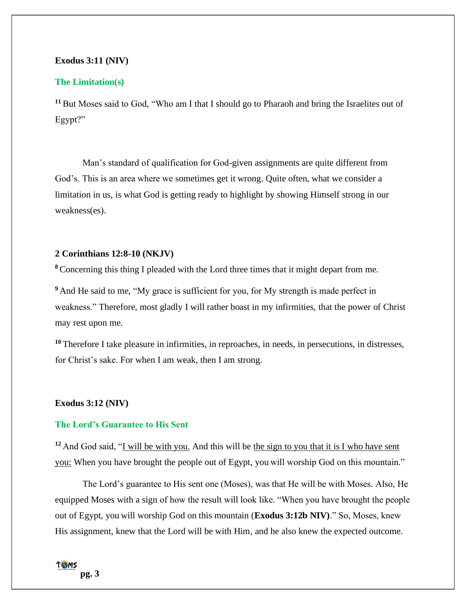# **Exodus 3:11 (NIV)**

# **The Limitation(s)**

**<sup>11</sup>** But Moses said to God, "Who am I that I should go to Pharaoh and bring the Israelites out of Egypt?"

Man's standard of qualification for God-given assignments are quite different from God's. This is an area where we sometimes get it wrong. Quite often, what we consider a limitation in us, is what God is getting ready to highlight by showing Himself strong in our weakness(es).

# **2 Corinthians 12:8-10 (NKJV)**

**<sup>8</sup>** Concerning this thing I pleaded with the Lord three times that it might depart from me.

**<sup>9</sup>** And He said to me, "My grace is sufficient for you, for My strength is made perfect in weakness." Therefore, most gladly I will rather boast in my infirmities, that the power of Christ may rest upon me.

**<sup>10</sup>** Therefore I take pleasure in infirmities, in reproaches, in needs, in persecutions, in distresses, for Christ's sake. For when I am weak, then I am strong.

## **Exodus 3:12 (NIV)**

# **The Lord's Guarantee to His Sent**

**<sup>12</sup>** And God said, "I will be with you. And this will be the sign to you that it is I who have sent you: When you have brought the people out of Egypt, you will worship God on this mountain."

The Lord's guarantee to His sent one (Moses), was that He will be with Moses. Also, He equipped Moses with a sign of how the result will look like. "When you have brought the people out of Egypt, you will worship God on this mountain (**Exodus 3:12b NIV)**." So, Moses, knew His assignment, knew that the Lord will be with Him, and he also knew the expected outcome.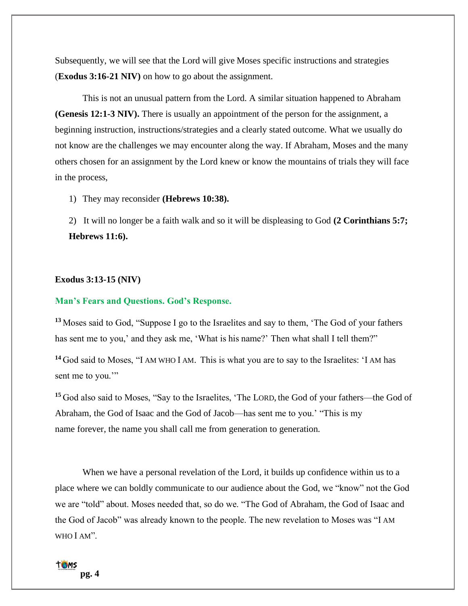Subsequently, we will see that the Lord will give Moses specific instructions and strategies (**Exodus 3:16-21 NIV)** on how to go about the assignment.

This is not an unusual pattern from the Lord. A similar situation happened to Abraham **(Genesis 12:1-3 NIV).** There is usually an appointment of the person for the assignment, a beginning instruction, instructions/strategies and a clearly stated outcome. What we usually do not know are the challenges we may encounter along the way. If Abraham, Moses and the many others chosen for an assignment by the Lord knew or know the mountains of trials they will face in the process,

1) They may reconsider **(Hebrews 10:38).**

2) It will no longer be a faith walk and so it will be displeasing to God **(2 Corinthians 5:7; Hebrews 11:6).**

# **Exodus 3:13-15 (NIV)**

# **Man's Fears and Questions. God's Response.**

**<sup>13</sup>** Moses said to God, "Suppose I go to the Israelites and say to them, 'The God of your fathers has sent me to you,' and they ask me, 'What is his name?' Then what shall I tell them?"

**<sup>14</sup>** God said to Moses, "I AM WHO I AM. This is what you are to say to the Israelites: 'I AM has sent me to you."

**<sup>15</sup>** God also said to Moses, "Say to the Israelites, 'The LORD, the God of your fathers—the God of Abraham, the God of Isaac and the God of Jacob—has sent me to you.' "This is my name forever, the name you shall call me from generation to generation.

When we have a personal revelation of the Lord, it builds up confidence within us to a place where we can boldly communicate to our audience about the God, we "know" not the God we are "told" about. Moses needed that, so do we. "The God of Abraham, the God of Isaac and the God of Jacob" was already known to the people. The new revelation to Moses was "I AM WHO I AM".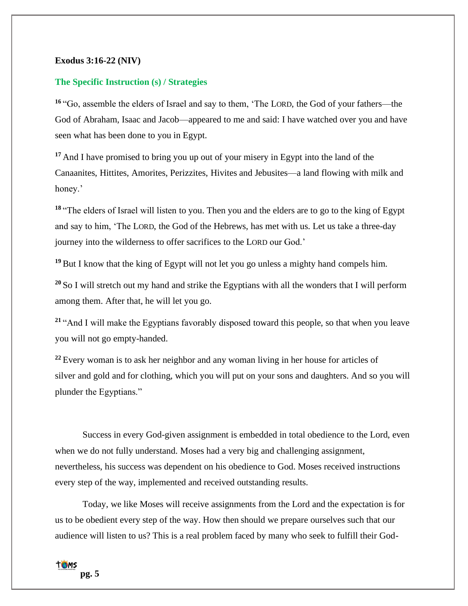# **Exodus 3:16-22 (NIV)**

# **The Specific Instruction (s) / Strategies**

**<sup>16</sup>** "Go, assemble the elders of Israel and say to them, 'The LORD, the God of your fathers—the God of Abraham, Isaac and Jacob—appeared to me and said: I have watched over you and have seen what has been done to you in Egypt.

**<sup>17</sup>** And I have promised to bring you up out of your misery in Egypt into the land of the Canaanites, Hittites, Amorites, Perizzites, Hivites and Jebusites—a land flowing with milk and honey.'

**<sup>18</sup>** "The elders of Israel will listen to you. Then you and the elders are to go to the king of Egypt and say to him, 'The LORD, the God of the Hebrews, has met with us. Let us take a three-day journey into the wilderness to offer sacrifices to the LORD our God.'

**<sup>19</sup>** But I know that the king of Egypt will not let you go unless a mighty hand compels him.

**<sup>20</sup>** So I will stretch out my hand and strike the Egyptians with all the wonders that I will perform among them. After that, he will let you go.

**<sup>21</sup>** "And I will make the Egyptians favorably disposed toward this people, so that when you leave you will not go empty-handed.

**<sup>22</sup>** Every woman is to ask her neighbor and any woman living in her house for articles of silver and gold and for clothing, which you will put on your sons and daughters. And so you will plunder the Egyptians."

Success in every God-given assignment is embedded in total obedience to the Lord, even when we do not fully understand. Moses had a very big and challenging assignment, nevertheless, his success was dependent on his obedience to God. Moses received instructions every step of the way, implemented and received outstanding results.

Today, we like Moses will receive assignments from the Lord and the expectation is for us to be obedient every step of the way. How then should we prepare ourselves such that our audience will listen to us? This is a real problem faced by many who seek to fulfill their God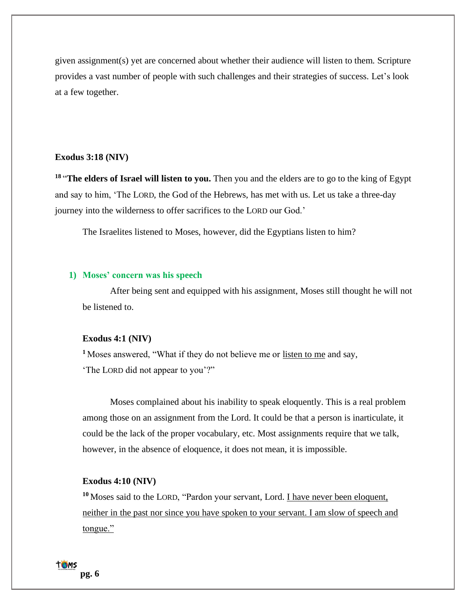given assignment(s) yet are concerned about whether their audience will listen to them. Scripture provides a vast number of people with such challenges and their strategies of success. Let's look at a few together.

## **Exodus 3:18 (NIV)**

**18** "**The elders of Israel will listen to you.** Then you and the elders are to go to the king of Egypt and say to him, 'The LORD, the God of the Hebrews, has met with us. Let us take a three-day journey into the wilderness to offer sacrifices to the LORD our God.'

The Israelites listened to Moses, however, did the Egyptians listen to him?

## **1) Moses' concern was his speech**

After being sent and equipped with his assignment, Moses still thought he will not be listened to.

# **Exodus 4:1 (NIV)**

**<sup>1</sup>**Moses answered, "What if they do not believe me or listen to me and say, 'The LORD did not appear to you'?"

Moses complained about his inability to speak eloquently. This is a real problem among those on an assignment from the Lord. It could be that a person is inarticulate, it could be the lack of the proper vocabulary, etc. Most assignments require that we talk, however, in the absence of eloquence, it does not mean, it is impossible.

# **Exodus 4:10 (NIV)**

<sup>10</sup> Moses said to the LORD, "Pardon your servant, Lord. <u>I have never been eloquent,</u> neither in the past nor since you have spoken to your servant. I am slow of speech and tongue."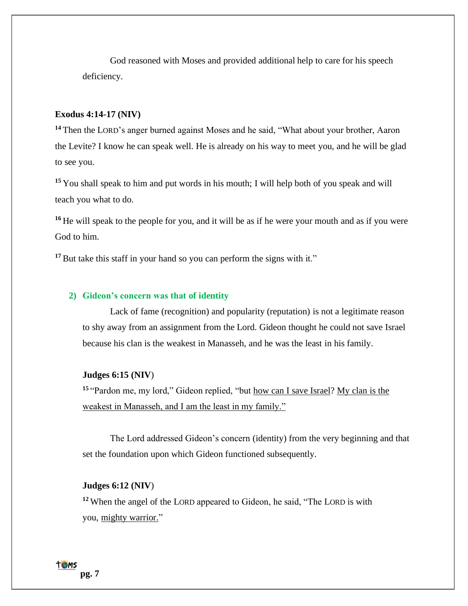God reasoned with Moses and provided additional help to care for his speech deficiency.

# **Exodus 4:14-17 (NIV)**

**<sup>14</sup>** Then the LORD's anger burned against Moses and he said, "What about your brother, Aaron the Levite? I know he can speak well. He is already on his way to meet you, and he will be glad to see you.

**<sup>15</sup>** You shall speak to him and put words in his mouth; I will help both of you speak and will teach you what to do.

**<sup>16</sup>** He will speak to the people for you, and it will be as if he were your mouth and as if you were God to him.

<sup>17</sup> But take this staff in your hand so you can perform the signs with it."

# **2) Gideon's concern was that of identity**

Lack of fame (recognition) and popularity (reputation) is not a legitimate reason to shy away from an assignment from the Lord. Gideon thought he could not save Israel because his clan is the weakest in Manasseh, and he was the least in his family.

# **Judges 6:15 (NIV**)

**<sup>15</sup>** "Pardon me, my lord," Gideon replied, "but how can I save Israel? My clan is the weakest in Manasseh, and I am the least in my family."

The Lord addressed Gideon's concern (identity) from the very beginning and that set the foundation upon which Gideon functioned subsequently.

# **Judges 6:12 (NIV**)

**<sup>12</sup>** When the angel of the LORD appeared to Gideon, he said, "The LORD is with you, mighty warrior."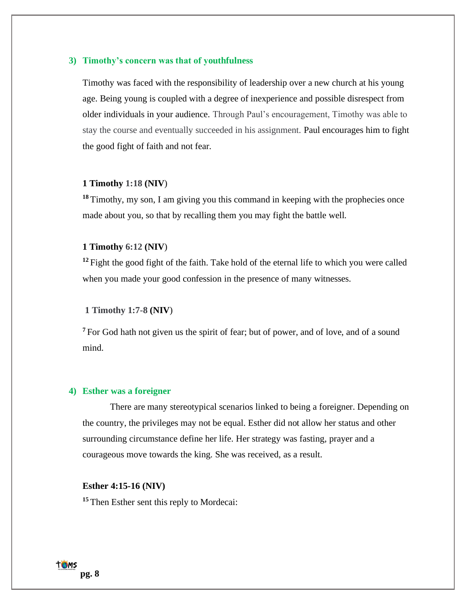# **3) Timothy's concern was that of youthfulness**

Timothy was faced with the responsibility of leadership over a new church at his young age. Being young is coupled with a degree of inexperience and possible disrespect from older individuals in your audience. Through Paul's encouragement, Timothy was able to stay the course and eventually succeeded in his assignment. Paul encourages him to fight the good fight of faith and not fear.

## **1 Timothy 1:18 (NIV**)

<sup>18</sup> Timothy, my son, I am giving you this command in keeping with the prophecies once made about you, so that by recalling them you may fight the battle well.

## **1 Timothy 6:12 (NIV**)

<sup>12</sup> Fight the good fight of the faith. Take hold of the eternal life to which you were called when you made your good confession in the presence of many witnesses.

## **1 Timothy 1:7-8 (NIV**)

<sup>7</sup> For God hath not given us the spirit of fear; but of power, and of love, and of a sound mind.

# **4) Esther was a foreigner**

There are many stereotypical scenarios linked to being a foreigner. Depending on the country, the privileges may not be equal. Esther did not allow her status and other surrounding circumstance define her life. Her strategy was fasting, prayer and a courageous move towards the king. She was received, as a result.

## **Esther 4:15-16 (NIV)**

**<sup>15</sup>** Then Esther sent this reply to Mordecai: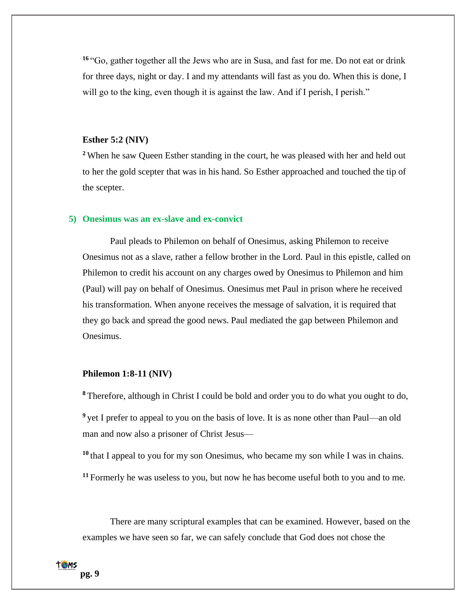**<sup>16</sup>** "Go, gather together all the Jews who are in Susa, and fast for me. Do not eat or drink for three days, night or day. I and my attendants will fast as you do. When this is done, I will go to the king, even though it is against the law. And if I perish, I perish."

# **Esther 5:2 (NIV)**

**<sup>2</sup>** When he saw Queen Esther standing in the court, he was pleased with her and held out to her the gold scepter that was in his hand. So Esther approached and touched the tip of the scepter.

# **5) Onesimus was an ex-slave and ex-convict**

Paul pleads to Philemon on behalf of Onesimus, asking Philemon to receive Onesimus not as a slave, rather a fellow brother in the Lord. Paul in this epistle, called on Philemon to credit his account on any charges owed by Onesimus to Philemon and him (Paul) will pay on behalf of Onesimus. Onesimus met Paul in prison where he received his transformation. When anyone receives the message of salvation, it is required that they go back and spread the good news. Paul mediated the gap between Philemon and Onesimus.

## **Philemon 1:8-11 (NIV)**

**<sup>8</sup>** Therefore, although in Christ I could be bold and order you to do what you ought to do,

<sup>9</sup> yet I prefer to appeal to you on the basis of love. It is as none other than Paul—an old man and now also a prisoner of Christ Jesus—

**<sup>10</sup>** that I appeal to you for my son Onesimus, who became my son while I was in chains.

**<sup>11</sup>** Formerly he was useless to you, but now he has become useful both to you and to me.

There are many scriptural examples that can be examined. However, based on the examples we have seen so far, we can safely conclude that God does not chose the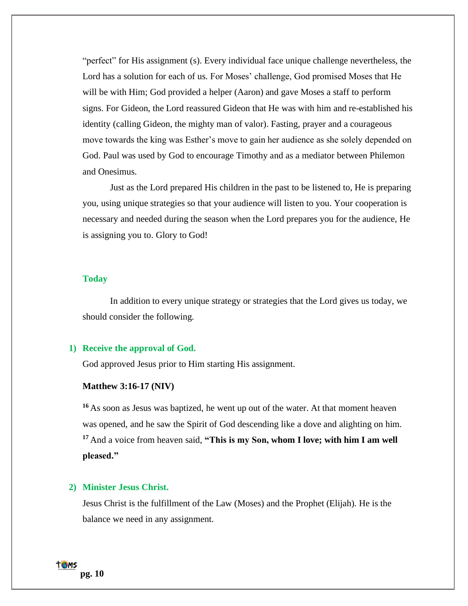"perfect" for His assignment (s). Every individual face unique challenge nevertheless, the Lord has a solution for each of us. For Moses' challenge, God promised Moses that He will be with Him; God provided a helper (Aaron) and gave Moses a staff to perform signs. For Gideon, the Lord reassured Gideon that He was with him and re-established his identity (calling Gideon, the mighty man of valor). Fasting, prayer and a courageous move towards the king was Esther's move to gain her audience as she solely depended on God. Paul was used by God to encourage Timothy and as a mediator between Philemon and Onesimus.

Just as the Lord prepared His children in the past to be listened to, He is preparing you, using unique strategies so that your audience will listen to you. Your cooperation is necessary and needed during the season when the Lord prepares you for the audience, He is assigning you to. Glory to God!

# **Today**

In addition to every unique strategy or strategies that the Lord gives us today, we should consider the following.

## **1) Receive the approval of God.**

God approved Jesus prior to Him starting His assignment.

#### **Matthew 3:16-17 (NIV)**

**<sup>16</sup>** As soon as Jesus was baptized, he went up out of the water. At that moment heaven was opened, and he saw the Spirit of God descending like a dove and alighting on him. **<sup>17</sup>** And a voice from heaven said, **"This is my Son, whom I love; with him I am well pleased."**

# **2) Minister Jesus Christ.**

Jesus Christ is the fulfillment of the Law (Moses) and the Prophet (Elijah). He is the balance we need in any assignment.